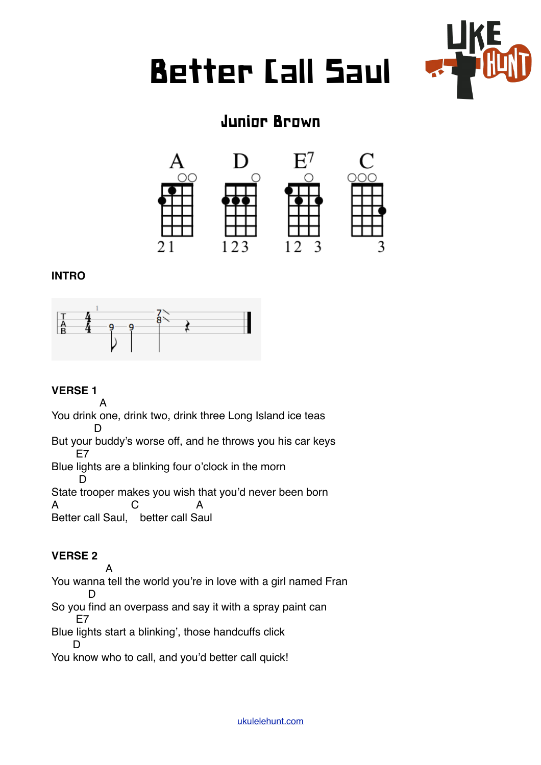

# Better Call Saul

# Junior Brown



#### **INTRO**



# **VERSE 1**

 A You drink one, drink two, drink three Long Island ice teas D

But your buddy's worse off, and he throws you his car keys E7

Blue lights are a blinking four o'clock in the morn

 D State trooper makes you wish that you'd never been born A C A Better call Saul, better call Saul

# **VERSE 2**

 A You wanna tell the world you're in love with a girl named Fran D So you find an overpass and say it with a spray paint can E7

Blue lights start a blinking', those handcuffs click D

You know who to call, and you'd better call quick!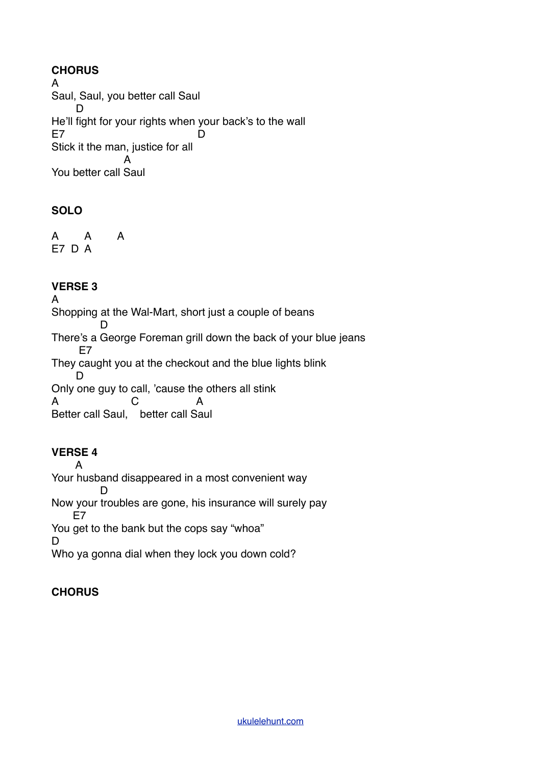## **CHORUS**

A Saul, Saul, you better call Saul D<sub>D</sub> He'll fight for your rights when your back's to the wall E7 D Stick it the man, justice for all A You better call Saul

# **SOLO**

A A A E7 D A

#### **VERSE 3** A

Shopping at the Wal-Mart, short just a couple of beans **Discovery** There's a George Foreman grill down the back of your blue jeans E7 They caught you at the checkout and the blue lights blink D Only one guy to call, 'cause the others all stink A C A Better call Saul, better call Saul

# **VERSE 4**

 A Your husband disappeared in a most convenient way D Now your troubles are gone, his insurance will surely pay E7 You get to the bank but the cops say "whoa" D Who ya gonna dial when they lock you down cold?

# **CHORUS**